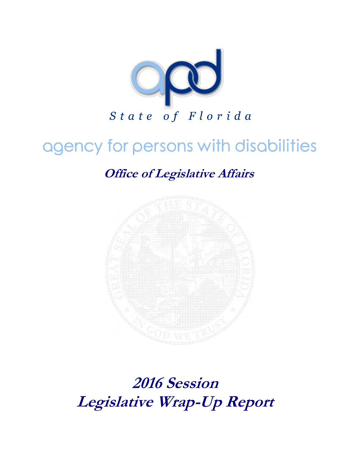

# agency for persons with disabilities

**Office of Legislative Affairs**



**2016 Session Legislative Wrap-Up Report**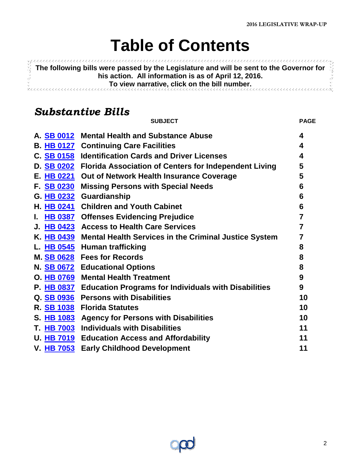# **Table of Contents**

<span id="page-1-0"></span>11999999 **The following bills were passed by the Legislature and will be sent to the Governor for his action. All information is as of April 12, 2016. To view narrative, click on the bill number.** Ř, *RECEIVE* 

## *Substantive Bills*

**SUBJECT PAGE**

|                   | A. SB 0012 Mental Health and Substance Abuse                            | 4              |
|-------------------|-------------------------------------------------------------------------|----------------|
|                   | <b>B. HB 0127 Continuing Care Facilities</b>                            | 4              |
| <b>C. SB 0158</b> | <b>Identification Cards and Driver Licenses</b>                         | 4              |
|                   | D. <b>SB 0202</b> Florida Association of Centers for Independent Living | 5              |
|                   | E. HB 0221 Out of Network Health Insurance Coverage                     | 5              |
| F. SB 0230        | <b>Missing Persons with Special Needs</b>                               | 6              |
| G. HB 0232        | Guardianship                                                            | 6              |
|                   | H. HB 0241 Children and Youth Cabinet                                   | 6              |
|                   | <b>HB 0387</b> Offenses Evidencing Prejudice                            | $\overline{7}$ |
| <b>J. HB 0423</b> | <b>Access to Health Care Services</b>                                   | 7              |
| K. HB 0439        | <b>Mental Health Services in the Criminal Justice System</b>            |                |
|                   | L. HB 0545 Human trafficking                                            | 8              |
|                   | M. SB 0628 Fees for Records                                             | 8              |
|                   | N. SB 0672 Educational Options                                          | 8              |
|                   | O. HB 0769 Mental Health Treatment                                      | 9              |
|                   | P. <b>HB 0837</b> Education Programs for Individuals with Disabilities  | 9              |
|                   | Q. SB 0936 Persons with Disabilities                                    | 10             |
|                   | R. SB 1038 Florida Statutes                                             | 10             |
|                   | S. HB 1083 Agency for Persons with Disabilities                         | 10             |
|                   | T. HB 7003 Individuals with Disabilities                                | 11             |
|                   | U. HB 7019 Education Access and Affordability                           | 11             |
| <b>V. HB 7053</b> | <b>Early Childhood Development</b>                                      | 11             |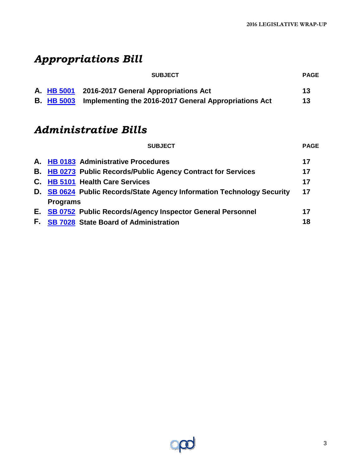## *Appropriations Bill*

|                   | <b>SUBJECT</b>                                        | <b>PAGE</b> |
|-------------------|-------------------------------------------------------|-------------|
|                   | A. HB 5001 2016-2017 General Appropriations Act       | 13          |
| <b>B. HB 5003</b> | Implementing the 2016-2017 General Appropriations Act | 13          |

## *Administrative Bills*

| <b>SUBJECT</b>                                                         | <b>PAGE</b> |
|------------------------------------------------------------------------|-------------|
| A. HB 0183 Administrative Procedures                                   | 17          |
| <b>B. HB 0273 Public Records/Public Agency Contract for Services</b>   | 17          |
| C. HB 5101 Health Care Services                                        | 17          |
| D. SB 0624 Public Records/State Agency Information Technology Security | 17          |
| <b>Programs</b>                                                        |             |
| SB 0752 Public Records/Agency Inspector General Personnel              | 17          |
| <b>SB 7028 State Board of Administration</b>                           | 18          |
|                                                                        |             |

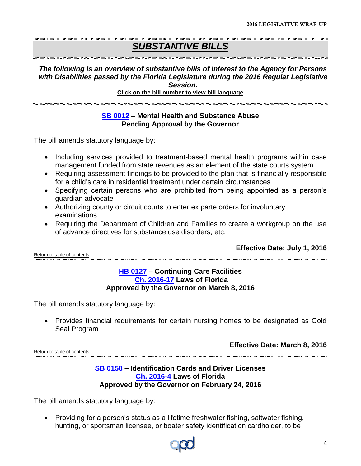.<br>מסדעות המסדעות המסדעות במסדעות במסדעות במסדעות במסדעות במסדעות במסדעות במסדעות במסדעות במסדעות במסדעות במסדעות

## *SUBSTANTIVE BILLS*

## *The following is an overview of substantive bills of interest to the Agency for Persons with Disabilities passed by the Florida Legislature during the 2016 Regular Legislative Session.*

### <span id="page-3-0"></span>**Click on the bill number to view bill language**

## **[SB 0012](http://www.flsenate.gov/Session/Bill/2016/0012/BillText/er/PDF) – Mental Health and Substance Abuse Pending Approval by the Governor**

The bill amends statutory language by:

- Including services provided to treatment-based mental health programs within case management funded from state revenues as an element of the state courts system
- Requiring assessment findings to be provided to the plan that is financially responsible for a child's care in residential treatment under certain circumstances
- Specifying certain persons who are prohibited from being appointed as a person's guardian advocate
- Authorizing county or circuit courts to enter ex parte orders for involuntary examinations
- Requiring the Department of Children and Families to create a workgroup on the use of advance directives for substance use disorders, etc.

<span id="page-3-1"></span>

**Effective Date: July 1, 2016**

[Return to table of contents](#page-1-0)

## **[HB 0127](http://www.flsenate.gov/Session/Bill/2016/0127/BillText/er/PDF) – Continuing Care Facilities [Ch. 2016-17](http://laws.flrules.org/2016/17) Laws of Florida Approved by the Governor on March 8, 2016**

The bill amends statutory language by:

 Provides financial requirements for certain nursing homes to be designated as Gold Seal Program

**Effective Date: March 8, 2016**

[Return to table of contents](#page-1-0)

## <span id="page-3-2"></span>**[SB 0158](http://www.flsenate.gov/Session/Bill/2016/0158/BillText/er/PDF) – Identification Cards and Driver Licenses [Ch. 2016-4](http://laws.flrules.org/2016/4) Laws of Florida Approved by the Governor on February 24, 2016**

The bill amends statutory language by:

• Providing for a person's status as a lifetime freshwater fishing, saltwater fishing, hunting, or sportsman licensee, or boater safety identification cardholder, to be

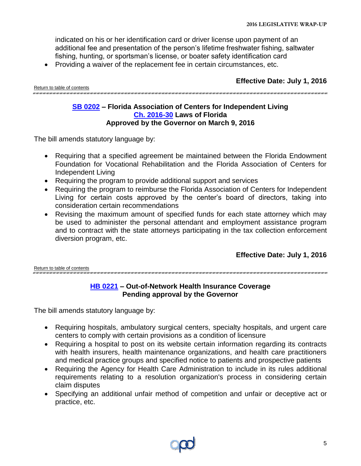indicated on his or her identification card or driver license upon payment of an additional fee and presentation of the person's lifetime freshwater fishing, saltwater fishing, hunting, or sportsman's license, or boater safety identification card

Providing a waiver of the replacement fee in certain circumstances, etc.

[Return to table of contents](#page-1-0)

**Effective Date: July 1, 2016**

## <span id="page-4-0"></span>**[SB 0202](http://www.flsenate.gov/Session/Bill/2016/0202/BillText/er/PDF) – Florida Association of Centers for Independent Living [Ch. 2016-30](http://laws.flrules.org/2016/30) Laws of Florida Approved by the Governor on March 9, 2016**

The bill amends statutory language by:

- Requiring that a specified agreement be maintained between the Florida Endowment Foundation for Vocational Rehabilitation and the Florida Association of Centers for Independent Living
- Requiring the program to provide additional support and services
- Requiring the program to reimburse the Florida Association of Centers for Independent Living for certain costs approved by the center's board of directors, taking into consideration certain recommendations
- Revising the maximum amount of specified funds for each state attorney which may be used to administer the personal attendant and employment assistance program and to contract with the state attorneys participating in the tax collection enforcement diversion program, etc.

**Effective Date: July 1, 2016**

[Return to table of contents](#page-1-0)

## **[HB 0221](http://www.flsenate.gov/Session/Bill/2016/0221/BillText/er/PDF) – Out-of-Network Health Insurance Coverage Pending approval by the Governor**

- Requiring hospitals, ambulatory surgical centers, specialty hospitals, and urgent care centers to comply with certain provisions as a condition of licensure
- Requiring a hospital to post on its website certain information regarding its contracts with health insurers, health maintenance organizations, and health care practitioners and medical practice groups and specified notice to patients and prospective patients
- Requiring the Agency for Health Care Administration to include in its rules additional requirements relating to a resolution organization's process in considering certain claim disputes
- Specifying an additional unfair method of competition and unfair or deceptive act or practice, etc.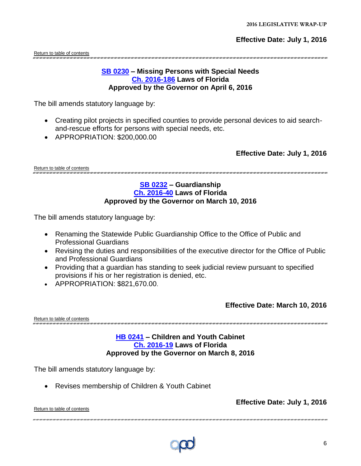**Effective Date: July 1, 2016**

[Return to table of contents](#page-1-0)

## <span id="page-5-1"></span>**[SB 0230](http://www.flsenate.gov/Session/Bill/2016/0230/BillText/er/PDF) – Missing Persons with Special Needs Ch. [2016-186](http://laws.flrules.org/2016/186) Laws of Florida Approved by the Governor on April 6, 2016**

The bill amends statutory language by:

- Creating pilot projects in specified counties to provide personal devices to aid searchand-rescue efforts for persons with special needs, etc.
- APPROPRIATION: \$200,000.00

<span id="page-5-0"></span>**Effective Date: July 1, 2016**

[Return to table of contents](#page-1-0)

## **[SB 0232](http://www.flsenate.gov/Session/Bill/2016/0232/BillText/er/PDF) – Guardianship [Ch. 2016-40](http://laws.flrules.org/2016/40) Laws of Florida Approved by the Governor on March 10, 2016**

The bill amends statutory language by:

- Renaming the Statewide Public Guardianship Office to the Office of Public and Professional Guardians
- Revising the duties and responsibilities of the executive director for the Office of Public and Professional Guardians
- Providing that a guardian has standing to seek judicial review pursuant to specified provisions if his or her registration is denied, etc.
- APPROPRIATION: \$821,670.00.

**Effective Date: March 10, 2016**

[Return to table of contents](#page-1-0) and contents and content and content and content and content and content and content and content and content and content and content and content and content and content and content and content a

## <span id="page-5-2"></span>**[HB 0241](http://www.flsenate.gov/Session/Bill/2016/0241/BillText/er/PDF) – Children and Youth Cabinet [Ch. 2016-19](http://laws.flrules.org/2016/19) Laws of Florida Approved by the Governor on March 8, 2016**

The bill amends statutory language by:

Revises membership of Children & Youth Cabinet

[Return to table of contents](#page-1-0)

**Effective Date: July 1, 2016**

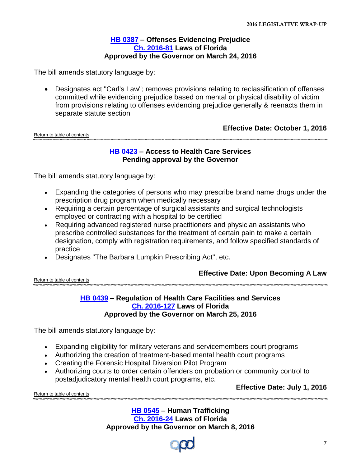## <span id="page-6-0"></span>**[HB 0387](http://www.flsenate.gov/Session/Bill/2016/0387/BillText/er/PDF) – Offenses Evidencing Prejudice [Ch. 2016-81](http://laws.flrules.org/2016/81) Laws of Florida Approved by the Governor on March 24, 2016**

The bill amends statutory language by:

 Designates act "Carl's Law"; removes provisions relating to reclassification of offenses committed while evidencing prejudice based on mental or physical disability of victim from provisions relating to offenses evidencing prejudice generally & reenacts them in separate statute section

**Effective Date: October 1, 2016** [Return to table](#page-1-0) of contents .<br>In the control of the control of the late of the control of the control of the control of the control of the control of the control of the control of the control of the control of the control of the control of the contro

## <span id="page-6-1"></span>**[HB 0423](http://www.flsenate.gov/Session/Bill/2016/0423/BillText/er/PDF) – Access to Health Care Services Pending approval by the Governor**

The bill amends statutory language by:

- Expanding the categories of persons who may prescribe brand name drugs under the prescription drug program when medically necessary
- Requiring a certain percentage of surgical assistants and surgical technologists employed or contracting with a hospital to be certified
- Requiring advanced registered nurse practitioners and physician assistants who prescribe controlled substances for the treatment of certain pain to make a certain designation, comply with registration requirements, and follow specified standards of practice
- Designates "The Barbara Lumpkin Prescribing Act", etc.

## **Effective Date: Upon Becoming A Law**

[Return to table of contents](#page-1-0) and contents and content and content and content and content and content and content and content and content and content and content and content

## <span id="page-6-2"></span>**[HB 0439](http://www.flsenate.gov/Session/Bill/2016/0439/BillText/er/PDF) – Regulation of Health Care Facilities and Services [Ch. 2016-127](http://laws.flrules.org/2016/127) Laws of Florida Approved by the Governor on March 25, 2016**

The bill amends statutory language by:

- Expanding eligibility for military veterans and servicemembers court programs
- Authorizing the creation of treatment-based mental health court programs
- Creating the Forensic Hospital Diversion Pilot Program
- Authorizing courts to order certain offenders on probation or community control to postadjudicatory mental health court programs, etc.

[Return to table of contents](#page-1-0) 

**Effective Date: July 1, 2016**

**[HB 0545](http://www.flsenate.gov/Session/Bill/2016/0545/BillText/er/PDF) – Human Trafficking [Ch. 2016-24](http://laws.flrules.org/2016/24) Laws of Florida Approved by the Governor on March 8, 2016**

<span id="page-6-3"></span>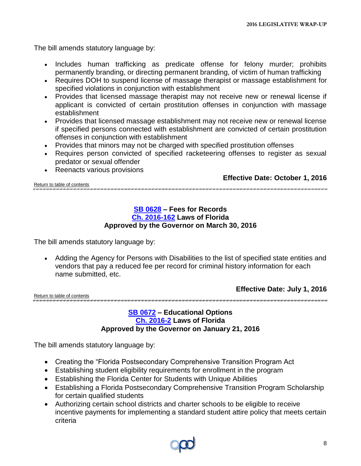The bill amends statutory language by:

- Includes human trafficking as predicate offense for felony murder; prohibits permanently branding, or directing permanent branding, of victim of human trafficking
- Requires DOH to suspend license of massage therapist or massage establishment for specified violations in conjunction with establishment
- Provides that licensed massage therapist may not receive new or renewal license if applicant is convicted of certain prostitution offenses in conjunction with massage establishment
- Provides that licensed massage establishment may not receive new or renewal license if specified persons connected with establishment are convicted of certain prostitution offenses in conjunction with establishment
- Provides that minors may not be charged with specified prostitution offenses
- Requires person convicted of specified racketeering offenses to register as sexual predator or sexual offender

• Reenacts various provisions

<span id="page-7-0"></span>**Effective Date: October 1, 2016**

[Return to table of contents](#page-1-0)

## **[SB 0628](http://www.flsenate.gov/Session/Bill/2016/0628/BillText/er/PDF) – Fees for Records [Ch. 2016-162](http://laws.flrules.org/2016/162) Laws of Florida Approved by the Governor on March 30, 2016**

The bill amends statutory language by:

 Adding the Agency for Persons with Disabilities to the list of specified state entities and vendors that pay a reduced fee per record for criminal history information for each name submitted, etc.

**Effective Date: July 1, 2016**

[Return to table of contents](#page-1-0)

<span id="page-7-1"></span>

## **[SB 0672](http://www.flsenate.gov/Session/Bill/2016/0672/BillText/er/PDF) – Educational Options [Ch. 2016-2](http://laws.flrules.org/2016/2) Laws of Florida Approved by the Governor on January 21, 2016**

- Creating the "Florida Postsecondary Comprehensive Transition Program Act
- Establishing student eligibility requirements for enrollment in the program
- Establishing the Florida Center for Students with Unique Abilities
- Establishing a Florida Postsecondary Comprehensive Transition Program Scholarship for certain qualified students
- Authorizing certain school districts and charter schools to be eligible to receive incentive payments for implementing a standard student attire policy that meets certain criteria

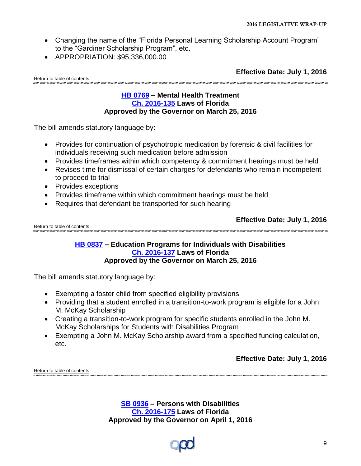- Changing the name of the "Florida Personal Learning Scholarship Account Program" to the "Gardiner Scholarship Program", etc.
- APPROPRIATION: \$95,336,000.00

**Effective Date: July 1, 2016**

[Return to table of contents](#page-1-0)

<span id="page-8-0"></span>

## **[HB 0769](http://www.flsenate.gov/Session/Bill/2016/0769/BillText/er/PDF) – Mental Health Treatment [Ch. 2016-135](http://laws.flrules.org/2016/135) Laws of Florida Approved by the Governor on March 25, 2016**

The bill amends statutory language by:

- Provides for continuation of psychotropic medication by forensic & civil facilities for individuals receiving such medication before admission
- Provides timeframes within which competency & commitment hearings must be held
- Revises time for dismissal of certain charges for defendants who remain incompetent to proceed to trial
- Provides exceptions
- Provides timeframe within which commitment hearings must be held
- Requires that defendant be transported for such hearing

**Effective Date: July 1, 2016**

[Return to table of contents](#page-1-0)

<span id="page-8-1"></span>

### **[HB 0837](http://www.flsenate.gov/Session/Bill/2016/0837/BillText/er/PDF) – Education Programs for Individuals with Disabilities [Ch. 2016-137](http://laws.flrules.org/2016/137) Laws of Florida Approved by the Governor on March 25, 2016**

The bill amends statutory language by:

- Exempting a foster child from specified eligibility provisions
- Providing that a student enrolled in a transition-to-work program is eligible for a John M. McKay Scholarship
- Creating a transition-to-work program for specific students enrolled in the John M. McKay Scholarships for Students with Disabilities Program
- Exempting a John M. McKay Scholarship award from a specified funding calculation, etc.

**Effective Date: July 1, 2016**

[Return to table of contents](#page-1-0)

<span id="page-8-2"></span>**[SB 0936](http://www.flsenate.gov/Session/Bill/2016/0936/BillText/er/PDF) – Persons with Disabilities [Ch. 2016-175](http://laws.flrules.org/2016/175) Laws of Florida Approved by the Governor on April 1, 2016**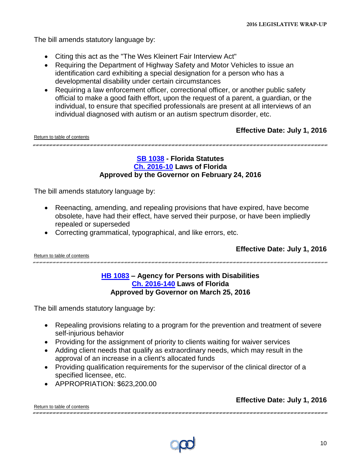The bill amends statutory language by:

- Citing this act as the "The Wes Kleinert Fair Interview Act"
- Requiring the Department of Highway Safety and Motor Vehicles to issue an identification card exhibiting a special designation for a person who has a developmental disability under certain circumstances
- Requiring a law enforcement officer, correctional officer, or another public safety official to make a good faith effort, upon the request of a parent, a guardian, or the individual, to ensure that specified professionals are present at all interviews of an individual diagnosed with autism or an autism spectrum disorder, etc.

### **Effective Date: July 1, 2016** [Return to table](#page-1-0) of contents

## <span id="page-9-0"></span>**[SB 1038](http://www.flsenate.gov/Session/Bill/2016/1038/BillText/er/PDF) - Florida Statutes [Ch. 2016-10](http://laws.flrules.org/2016/10) Laws of Florida Approved by the Governor on February 24, 2016**

The bill amends statutory language by:

- Reenacting, amending, and repealing provisions that have expired, have become obsolete, have had their effect, have served their purpose, or have been impliedly repealed or superseded
- Correcting grammatical, typographical, and like errors, etc.

## **Effective Date: July 1, 2016**

**Effective Date: July 1, 2016**

[Return to table of contents](#page-1-0)

## <span id="page-9-1"></span>**[HB 1083](http://www.flsenate.gov/Session/Bill/2016/1083/BillText/er/PDF) – Agency for Persons with Disabilities [Ch. 2016-140](http://laws.flrules.org/2016/140) Laws of Florida Approved by Governor on March 25, 2016**

- Repealing provisions relating to a program for the prevention and treatment of severe self-injurious behavior
- Providing for the assignment of priority to clients waiting for waiver services
- Adding client needs that qualify as extraordinary needs, which may result in the approval of an increase in a client's allocated funds
- Providing qualification requirements for the supervisor of the clinical director of a specified licensee, etc.
- APPROPRIATION: \$623,200.00

| $\frac{1}{2}$               |  |
|-----------------------------|--|
| Return to table of contents |  |
|                             |  |

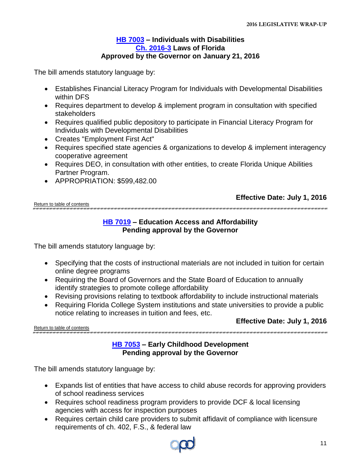## <span id="page-10-0"></span>**[HB 7003](http://www.flsenate.gov/Session/Bill/2016/7003/BillText/er/PDF) – Individuals with Disabilities [Ch. 2016-3](http://laws.flrules.org/2016/3) Laws of Florida Approved by the Governor on January 21, 2016**

The bill amends statutory language by:

- Establishes Financial Literacy Program for Individuals with Developmental Disabilities within DFS
- Requires department to develop & implement program in consultation with specified stakeholders
- Requires qualified public depository to participate in Financial Literacy Program for Individuals with Developmental Disabilities
- Creates "Employment First Act"
- Requires specified state agencies & organizations to develop & implement interagency cooperative agreement
- Requires DEO, in consultation with other entities, to create Florida Unique Abilities Partner Program.
- APPROPRIATION: \$599,482.00

**Effective Date: July 1, 2016**

[Return to table of contents](#page-1-0)

## **HB [7019](http://www.flsenate.gov/Session/Bill/2016/7019/BillText/er/PDF) – Education Access and Affordability Pending approval by the Governor**

<span id="page-10-1"></span>

<span id="page-10-2"></span>.<br>באת השרכות השרכות רשוב שורכות בשרכות בשרכות בשרכות השרכות השרכות השרכות השרכות השרכות השרכות בשרכות בשרכות בשרכו

The bill amends statutory language by:

- Specifying that the costs of instructional materials are not included in tuition for certain online degree programs
- Requiring the Board of Governors and the State Board of Education to annually identify strategies to promote college affordability
- Revising provisions relating to textbook affordability to include instructional materials
- Requiring Florida College System institutions and state universities to provide a public notice relating to increases in tuition and fees, etc.

[Return to table of contents](#page-1-0)

**Effective Date: July 1, 2016**

## **[HB 7053](http://www.flsenate.gov/Session/Bill/2016/7053/BillText/er/PDF) – Early Childhood Development Pending approval by the Governor**

- Expands list of entities that have access to child abuse records for approving providers of school readiness services
- Requires school readiness program providers to provide DCF & local licensing agencies with access for inspection purposes
- Requires certain child care providers to submit affidavit of compliance with licensure requirements of ch. 402, F.S., & federal law

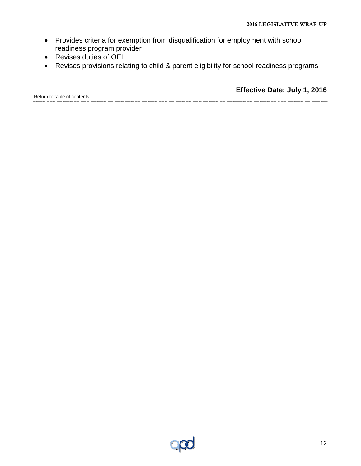- Provides criteria for exemption from disqualification for employment with school readiness program provider
- Revises duties of OEL
- Revises provisions relating to child & parent eligibility for school readiness programs

**Effective Date: July 1, 2016** [Return to table of contents](#page-1-0)

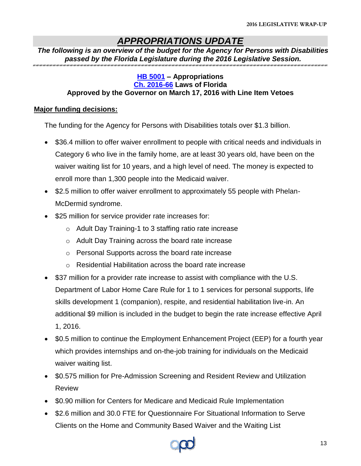## *APPROPRIATIONS UPDATE*

*The following is an overview of the budget for the Agency for Persons with Disabilities passed by the Florida Legislature during the 2016 Legislative Session.*

## <span id="page-12-0"></span>**[HB 5001](http://www.flsenate.gov/Session/Bill/2016/5001/BillText/er/PDF) – Appropriations [Ch. 2016-66](http://laws.flrules.org/2016/66) Laws of Florida**

## **Approved by the Governor on March 17, 2016 with Line Item Vetoes**

## **Major funding decisions:**

The funding for the Agency for Persons with Disabilities totals over \$1.3 billion.

- \$36.4 million to offer waiver enrollment to people with critical needs and individuals in Category 6 who live in the family home, are at least 30 years old, have been on the waiver waiting list for 10 years, and a high level of need. The money is expected to enroll more than 1,300 people into the Medicaid waiver.
- \$2.5 million to offer waiver enrollment to approximately 55 people with Phelan-McDermid syndrome.
- \$25 million for service provider rate increases for:
	- o Adult Day Training-1 to 3 staffing ratio rate increase
	- o Adult Day Training across the board rate increase
	- o Personal Supports across the board rate increase
	- o Residential Habilitation across the board rate increase
- \$37 million for a provider rate increase to assist with compliance with the U.S. Department of Labor Home Care Rule for 1 to 1 services for personal supports, life skills development 1 (companion), respite, and residential habilitation live-in. An additional \$9 million is included in the budget to begin the rate increase effective April 1, 2016.
- \$0.5 million to continue the Employment Enhancement Project (EEP) for a fourth year which provides internships and on-the-job training for individuals on the Medicaid waiver waiting list.
- \$0.575 million for Pre-Admission Screening and Resident Review and Utilization Review
- \$0.90 million for Centers for Medicare and Medicaid Rule Implementation
- \$2.6 million and 30.0 FTE for Questionnaire For Situational Information to Serve Clients on the Home and Community Based Waiver and the Waiting List

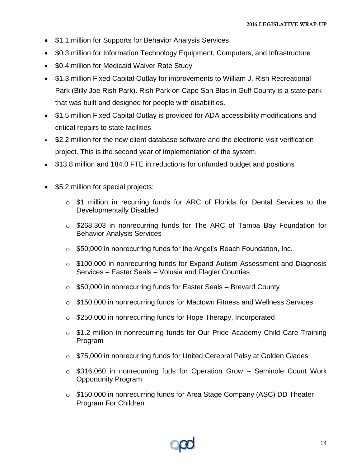- \$1.1 million for Supports for Behavior Analysis Services
- \$0.3 million for Information Technology Equipment, Computers, and Infrastructure
- \$0.4 million for Medicaid Waiver Rate Study
- \$1.3 million Fixed Capital Outlay for improvements to William J. Rish Recreational Park (Billy Joe Rish Park). Rish Park on Cape San Blas in Gulf County is a state park that was built and designed for people with disabilities.
- \$1.5 million Fixed Capital Outlay is provided for ADA accessibility modifications and critical repairs to state facilities
- \$2.2 million for the new client database software and the electronic visit verification project. This is the second year of implementation of the system.
- \$13.8 million and 184.0 FTE in reductions for unfunded budget and positions
- \$5.2 million for special projects:
	- o \$1 million in recurring funds for ARC of Florida for Dental Services to the Developmentally Disabled
	- o \$268,303 in nonrecurring funds for The ARC of Tampa Bay Foundation for Behavior Analysis Services
	- o \$50,000 in nonrecurring funds for the Angel's Reach Foundation, Inc.
	- o \$100,000 in nonrecurring funds for Expand Autism Assessment and Diagnosis Services – Easter Seals – Volusia and Flagler Counties
	- $\circ$  \$50,000 in nonrecurring funds for Easter Seals Brevard County
	- o \$150,000 in nonrecurring funds for Mactown Fitness and Wellness Services
	- o \$250,000 in nonrecurring funds for Hope Therapy, Incorporated
	- o \$1.2 million in nonrecurring funds for Our Pride Academy Child Care Training Program
	- o \$75,000 in nonrecurring funds for United Cerebral Palsy at Golden Glades
	- o \$316,060 in nonrecurring fuds for Operation Grow Seminole Count Work Opportunity Program
	- $\circ$  \$150,000 in nonrecurring funds for Area Stage Company (ASC) DD Theater Program For Children

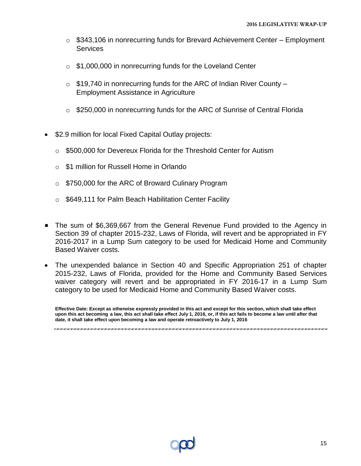- $\circ$  \$343,106 in nonrecurring funds for Brevard Achievement Center Employment **Services**
- $\circ$  \$1,000,000 in nonrecurring funds for the Loveland Center
- $\circ$  \$19,740 in nonrecurring funds for the ARC of Indian River County Employment Assistance in Agriculture
- o \$250,000 in nonrecurring funds for the ARC of Sunrise of Central Florida
- \$2.9 million for local Fixed Capital Outlay projects:
	- o \$500,000 for Devereux Florida for the Threshold Center for Autism
	- o \$1 million for Russell Home in Orlando
	- o \$750,000 for the ARC of Broward Culinary Program
	- o \$649,111 for Palm Beach Habilitation Center Facility
- The sum of \$6,369,667 from the General Revenue Fund provided to the Agency in Section 39 of chapter 2015-232, Laws of Florida, will revert and be appropriated in FY 2016-2017 in a Lump Sum category to be used for Medicaid Home and Community Based Waiver costs.

 The unexpended balance in Section 40 and Specific Appropriation 251 of chapter 2015-232, Laws of Florida, provided for the Home and Community Based Services waiver category will revert and be appropriated in FY 2016-17 in a Lump Sum category to be used for Medicaid Home and Community Based Waiver costs.

**Effective Date: Except as otherwise expressly provided in this act and except for this section, which shall take effect upon this act becoming a law, this act shall take effect July 1, 2016, or, if this act fails to become a law until after that date, it shall take effect upon becoming a law and operate retroactively to July 1, 2016**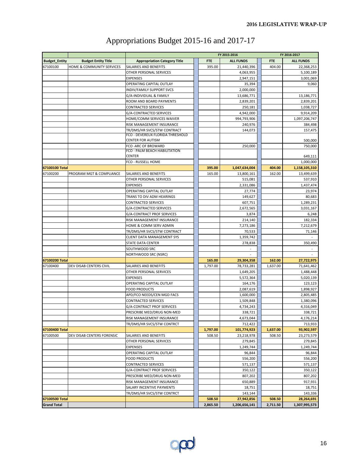|                      |                            |                                                     |            | FY 2015-2016     |            | FY 2016-2017     |
|----------------------|----------------------------|-----------------------------------------------------|------------|------------------|------------|------------------|
| <b>Budget_Entity</b> | <b>Budget Entity Title</b> | <b>Appropriation Category Title</b>                 | <b>FTE</b> | <b>ALL FUNDS</b> | <b>FTE</b> | <b>ALL FUNDS</b> |
| 67100100             | HOME & COMMUNITY SERVICES  | SALARIES AND BENEFITS                               | 395.00     | 21,440,396       | 404.00     | 22,368,253       |
|                      |                            | OTHER PERSONAL SERVICES                             |            | 4,063,955        |            | 5,100,189        |
|                      |                            | EXPENSES                                            |            | 2,947,151        |            | 3,001,069        |
|                      |                            | OPERATING CAPITAL OUTLAY                            |            | 35,394           |            | 9,060            |
|                      |                            | INDIV/FAMILY SUPPORT SVCS                           |            | 2,000,000        |            |                  |
|                      |                            | G/A-INDIVIDUAL & FAMILY                             |            | 13,686,771       |            | 13,186,771       |
|                      |                            | ROOM AND BOARD PAYMENTS                             |            | 2,839,201        |            | 2,839,201        |
|                      |                            | CONTRACTED SERVICES                                 |            | 250,181          |            | 1,038,727        |
|                      |                            | G/A-CONTRACTED SERVICES                             |            | 4,942,000        |            | 9,914,209        |
|                      |                            | HOME/COMM SERVICES WAIVER                           |            | 994,793,906      |            | 1,097,206,747    |
|                      |                            | RISK MANAGEMENT INSURANCE                           |            | 240,976          |            | 384,498          |
|                      |                            | TR/DMS/HR SVCS/STW CONTRACT                         |            | 144,073          |            | 157,475          |
|                      |                            | FCO - DEVEREUX FLORIDA THRESHOLD                    |            |                  |            |                  |
|                      |                            | CENTER FOR AUTISM                                   |            |                  |            | 500,000          |
|                      |                            | FCO-ARC OF BROWARD<br>FCO - PALM BEACH HABILITATION |            | 250,000          |            | 750,000          |
|                      |                            | CENTER                                              |            |                  |            | 649,111          |
|                      |                            | FCO - RUSSELL HOME                                  |            |                  |            | 1,000,000        |
| 67100100 Total       |                            |                                                     | 395.00     | 1,047,634,004    | 404.00     | 1,158,105,310    |
| 67100200             | PROGRAM MGT & COMPLIANCE   | SALARIES AND BENEFITS                               | 165.00     | 13,800,161       | 162.00     | 13,499,639       |
|                      |                            | OTHER PERSONAL SERVICES                             |            | 515,081          |            | 537,910          |
|                      |                            | <b>EXPENSES</b>                                     |            | 2,331,086        |            | 1,437,474        |
|                      |                            | OPERATING CAPITAL OUTLAY                            |            | 27,774           |            | 23,974           |
|                      |                            | TRANS TO DIV ADM HEARINGS                           |            | 149,627          |            | 80,683           |
|                      |                            | CONTRACTED SERVICES                                 |            | 607,751          |            | 1,289,231        |
|                      |                            | G/A-CONTRACTED SERVICES                             |            | 2,672,565        |            | 3,031,167        |
|                      |                            | G/A-CONTRACT PROF SERVICES                          |            | 3,874            |            | 6,248            |
|                      |                            | RISK MANAGEMENT INSURANCE                           |            | 214,140          |            | 182,334          |
|                      |                            | HOME & COMM SERV ADMIN                              |            | 7,273,186        |            | 7,212,679        |
|                      |                            | TR/DMS/HR SVCS/STW CONTRACT                         |            | 70,533           |            | 71,146           |
|                      |                            | CLIENT DATA MANAGEMENT SYS                          |            | 1,359,742        |            |                  |
|                      |                            | STATE DATA CENTER                                   |            | 278,838          |            | 350,490          |
|                      |                            | SOUTHWOOD SRC                                       |            |                  |            |                  |
|                      |                            | NORTHWOOD SRC (NSRC)                                |            |                  |            |                  |
| 67100200 Total       |                            |                                                     | 165.00     | 29,304,358       | 162.00     | 27,722,975       |
| 67100400             | DEV DISAB CENTERS CIVIL    | SALARIES AND BENEFITS                               | 1,797.00   | 78,733,281       | 1,637.00   | 71,641,462       |
|                      |                            | OTHER PERSONAL SERVICES                             |            | 1,649,205        |            | 1,488,448        |
|                      |                            | <b>EXPENSES</b>                                     |            | 5,572,364        |            | 5,020,139        |
|                      |                            | OPERATING CAPITAL OUTLAY                            |            | 164,176          |            | 123,123          |
|                      |                            | <b>FOOD PRODUCTS</b>                                |            | 2,087,619        |            | 1,898,927        |
|                      |                            | APD/FCO NEEDS/CEN MGD FACS                          |            | 1,600,000        |            | 2,805,485        |
|                      |                            | CONTRACTED SERVICES                                 |            | 1,509,848        |            | 1,380,096        |
|                      |                            | G/A-CONTRACT PROF SERVICES                          |            | 4,734,243        |            | 4,316,049        |
|                      |                            | PRESCRIBE MED/DRUG NON-MED                          |            | 338,721          |            | 338,721          |
|                      |                            | RISK MANAGEMENT INSURANCE                           |            | 4,673,044        |            | 4,176,214        |
|                      |                            | TR/DMS/HR SVCS/STW CONTRCT                          |            | 712,422          |            | 713,933          |
| 67100400 Total       |                            |                                                     | 1,797.00   | 101,774,923      | 1,637.00   | 93,902,597       |
| 67100500             | DEV DISAB CENTERS FORENSIC | SALARIES AND BENEFITS                               | 508.50     | 23,218,978       | 508.50     | 23,273,579       |
|                      |                            | OTHER PERSONAL SERVICES                             |            | 279,845          |            | 279,845          |
|                      |                            | EXPENSES                                            |            | 1,249,744        |            | 1,249,744        |
|                      |                            | OPERATING CAPITAL OUTLAY                            |            | 96,844           |            | 96,844           |
|                      |                            | <b>FOOD PRODUCTS</b>                                |            | 556,200          |            | 556,200          |
|                      |                            | CONTRACTED SERVICES                                 |            | 571,137          |            | 571,137          |
|                      |                            | G/A-CONTRACT PROF SERVICES                          |            | 350,122          |            | 350,122          |
|                      |                            | PRESCRIBE MED/DRUG NON-MED                          |            | 807,202          |            | 807,202          |
|                      |                            | RISK MANAGEMENT INSURANCE                           |            | 650,889          |            | 917,931          |
|                      |                            | SALARY INCENTIVE PAYMENTS                           |            | 18,751           |            | 18,751           |
|                      |                            | TR/DMS/HR SVCS/STW CONTRCT                          |            | 143,144          |            | 143,336          |
| 67100500 Total       |                            |                                                     | 508.50     | 27,942,856       | 508.50     | 28,264,691       |
| <b>Grand Total</b>   |                            |                                                     | 2,865.50   | 1,206,656,141    | 2,711.50   | 1,307,995,573    |

## Appropriations Budget 2015-16 and 2017-17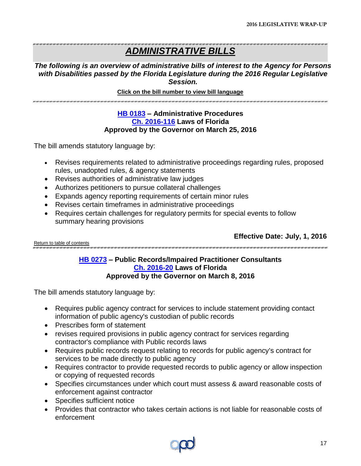## *ADMINISTRATIVE BILLS*

*The following is an overview of administrative bills of interest to the Agency for Persons with Disabilities passed by the Florida Legislature during the 2016 Regular Legislative Session.*

### <span id="page-16-0"></span>**Click on the bill number to view bill language**

## **[HB 0183](http://www.flsenate.gov/Session/Bill/2016/0183/BillText/er/PDF) – Administrative Procedures [Ch. 2016-116](http://laws.flrules.org/2016/116) Laws of Florida Approved by the Governor on March 25, 2016**

The bill amends statutory language by:

- Revises requirements related to administrative proceedings regarding rules, proposed rules, unadopted rules, & agency statements
- Revises authorities of administrative law judges
- Authorizes petitioners to pursue collateral challenges
- Expands agency reporting requirements of certain minor rules
- Revises certain timeframes in administrative proceedings
- Requires certain challenges for regulatory permits for special events to follow summary hearing provisions

**Effective Date: July, 1, 2016**

[Return to table of contents](#page-1-0)

## <span id="page-16-1"></span>

## **[HB 0273](http://www.flsenate.gov/Session/Bill/2016/0273/BillText/er/PDF) – Public Records/Impaired Practitioner Consultants [Ch. 2016-20](http://laws.flrules.org/2016/20) Laws of Florida Approved by the Governor on March 8, 2016**

- Requires public agency contract for services to include statement providing contact information of public agency's custodian of public records
- Prescribes form of statement
- revises required provisions in public agency contract for services regarding contractor's compliance with Public records laws
- Requires public records request relating to records for public agency's contract for services to be made directly to public agency
- Requires contractor to provide requested records to public agency or allow inspection or copying of requested records
- Specifies circumstances under which court must assess & award reasonable costs of enforcement against contractor
- Specifies sufficient notice
- Provides that contractor who takes certain actions is not liable for reasonable costs of enforcement

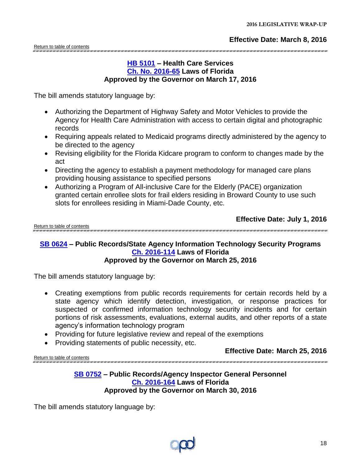## <span id="page-17-0"></span>**[HB 5101](http://www.flsenate.gov/Session/Bill/2016/5101/BillText/er/PDF) – Health Care Services [Ch. No. 2016-65](http://laws.flrules.org/2016/65) Laws of Florida Approved by the Governor on March 17, 2016**

The bill amends statutory language by:

- Authorizing the Department of Highway Safety and Motor Vehicles to provide the Agency for Health Care Administration with access to certain digital and photographic records
- Requiring appeals related to Medicaid programs directly administered by the agency to be directed to the agency
- Revising eligibility for the Florida Kidcare program to conform to changes made by the act
- Directing the agency to establish a payment methodology for managed care plans providing housing assistance to specified persons
- Authorizing a Program of All-inclusive Care for the Elderly (PACE) organization granted certain enrollee slots for frail elders residing in Broward County to use such slots for enrollees residing in Miami-Dade County, etc.

[Return to table of contents](#page-1-0)

**Effective Date: July 1, 2016**

### 

### <span id="page-17-1"></span>**[SB 0624](http://www.flsenate.gov/Session/Bill/2016/0624/BillText/er/PDF) – Public Records/State Agency Information Technology Security Programs [Ch. 2016-114](http://laws.flrules.org/2016/114) Laws of Florida Approved by the Governor on March 25, 2016**

The bill amends statutory language by:

- Creating exemptions from public records requirements for certain records held by a state agency which identify detection, investigation, or response practices for suspected or confirmed information technology security incidents and for certain portions of risk assessments, evaluations, external audits, and other reports of a state agency's information technology program
- Providing for future legislative review and repeal of the exemptions
- Providing statements of public necessity, etc.

[Return to table of contents](#page-1-0)

**Effective Date: March 25, 2016**

## <span id="page-17-2"></span>**[SB 0752](http://www.flsenate.gov/Session/Bill/2016/0752/BillText/er/PDF) – Public Records/Agency Inspector General Personnel [Ch. 2016-164](http://laws.flrules.org/2016/164) Laws of Florida Approved by the Governor on March 30, 2016**

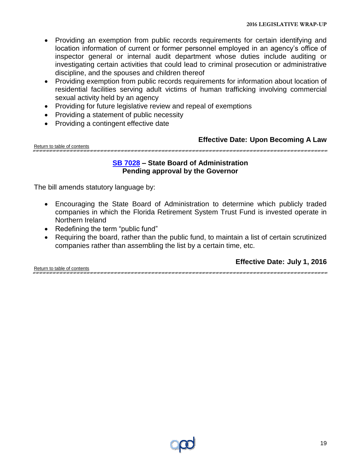- Providing an exemption from public records requirements for certain identifying and location information of current or former personnel employed in an agency's office of inspector general or internal audit department whose duties include auditing or investigating certain activities that could lead to criminal prosecution or administrative discipline, and the spouses and children thereof
- Providing exemption from public records requirements for information about location of residential facilities serving adult victims of human trafficking involving commercial sexual activity held by an agency
- Providing for future legislative review and repeal of exemptions
- Providing a statement of public necessity
- Providing a contingent effective date

**Effective Date: Upon Becoming A Law**

[Return to table of contents](#page-1-0) 

## <span id="page-18-0"></span>**[SB 7028](http://www.flsenate.gov/Session/Bill/2016/7028/BillText/er/PDF) – State Board of Administration Pending approval by the Governor**

- Encouraging the State Board of Administration to determine which publicly traded companies in which the Florida Retirement System Trust Fund is invested operate in Northern Ireland
- Redefining the term "public fund"
- Requiring the board, rather than the public fund, to maintain a list of certain scrutinized companies rather than assembling the list by a certain time, etc.

|                             | <b>Effective Date: July 1, 2016</b> |
|-----------------------------|-------------------------------------|
| Return to table of contents |                                     |
|                             |                                     |